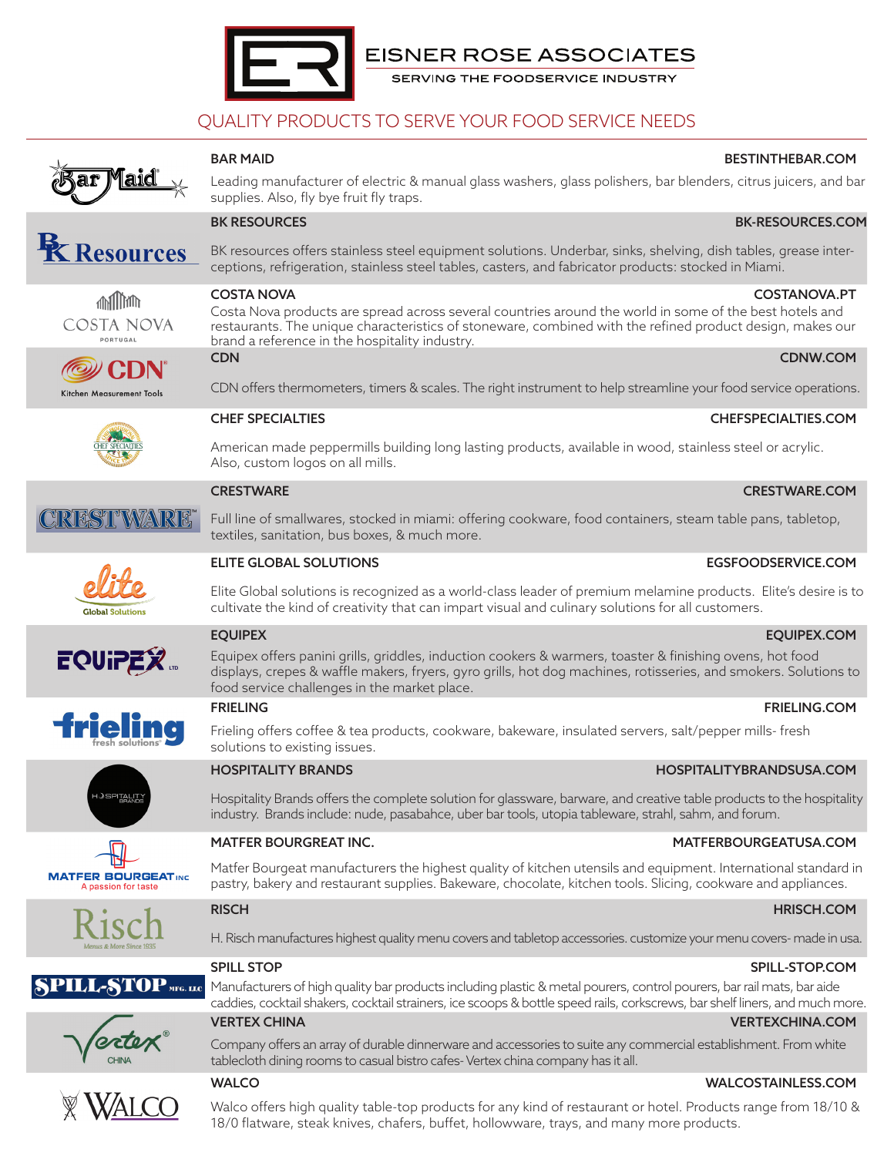

# QUALITY PRODUCTS TO SERVE YOUR FOOD SERVICE NEEDS



**Z Resources** 

**Milling COSTA NOVA PORTUGAL** 

Leading manufacturer of electric & manual glass washers, glass polishers, bar blenders, citrus juicers, and bar supplies. Also, fly bye fruit fly traps.

BAR MAID BESTINTHEBAR.COM

## BK-RESOURCES **BK-RESOURCES.**

BK resources offers stainless steel equipment solutions. Underbar, sinks, shelving, dish tables, grease interceptions, refrigeration, stainless steel tables, casters, and fabricator products: stocked in Miami.

## COSTA NOVA COSTANOVA.PT

Costa Nova products are spread across several countries around the world in some of the best hotels and restaurants. The unique characteristics of stoneware, combined with the refined product design, makes our brand a reference in the hospitality industry.

CDN CDNW.COM

CDN offers thermometers, timers & scales. The right instrument to help streamline your food service operations.

# *(@)* CDN

Kitchen Measurement Tools



**EQUIPEX** 

**ielii** 

**JSPITAL** 

**MATFER BOURGEAT INC** 

PILL-

## CHEF SPECIALTIES CHEFSPECIALTIES.COM

American made peppermills building long lasting products, available in wood, stainless steel or acrylic. Also, custom logos on all mills.

## CRESTWARE CRESTWARE.COM

Full line of smallwares, stocked in miami: offering cookware, food containers, steam table pans, tabletop, textiles, sanitation, bus boxes, & much more.

## ELITE GLOBAL SOLUTIONS EGSFOODSERVICE.COM

Elite Global solutions is recognized as a world-class leader of premium melamine products. Elite's desire is to cultivate the kind of creativity that can impart visual and culinary solutions for all customers.

Equipex offers panini grills, griddles, induction cookers & warmers, toaster & finishing ovens, hot food displays, crepes & waffle makers, fryers, gyro grills, hot dog machines, rotisseries, and smokers. Solutions to food service challenges in the market place.

## **FRIELING FRIELING.COM**

Frieling offers coffee & tea products, cookware, bakeware, insulated servers, salt/pepper mills- fresh solutions to existing issues.

## HOSPITALITY BRANDS HOSPITALITYBRANDSUSA.COM

Hospitality Brands offers the complete solution for glassware, barware, and creative table products to the hospitality industry. Brands include: nude, pasabahce, uber bar tools, utopia tableware, strahl, sahm, and forum.

Matfer Bourgeat manufacturers the highest quality of kitchen utensils and equipment. International standard in pastry, bakery and restaurant supplies. Bakeware, chocolate, kitchen tools. Slicing, cookware and appliances.

H. Risch manufactures highest quality menu covers and tabletop accessories. customize your menu covers- made in usa.

## SPILL STOP SPILL-STOP. THE SECOND SPILL-STOP.COM

 $\mathbf{TOP}_{\text{MFG, LLC}}$ Manufacturers of high quality bar products including plastic & metal pourers, control pourers, bar rail mats, bar aide caddies, cocktail shakers, cocktail strainers, ice scoops & bottle speed rails, corkscrews, bar shelf liners, and much more.

## VERTEX CHINA VERTEXCHINA.COM

Company offers an array of durable dinnerware and accessories to suite any commercial establishment. From white tablecloth dining rooms to casual bistro cafes- Vertex china company has it all.

## WALCO WALCOSTAINLESS.COM

Walco offers high quality table-top products for any kind of restaurant or hotel. Products range from 18/10 & 18/0 flatware, steak knives, chafers, buffet, hollowware, trays, and many more products.

## EQUIPEX EQUIPEX.COM

### MATFER BOURGREAT INC. THE SERVICE OF STATE AND MATTERBOURGEATUSA.COM

### RISCH HRISCH.COM